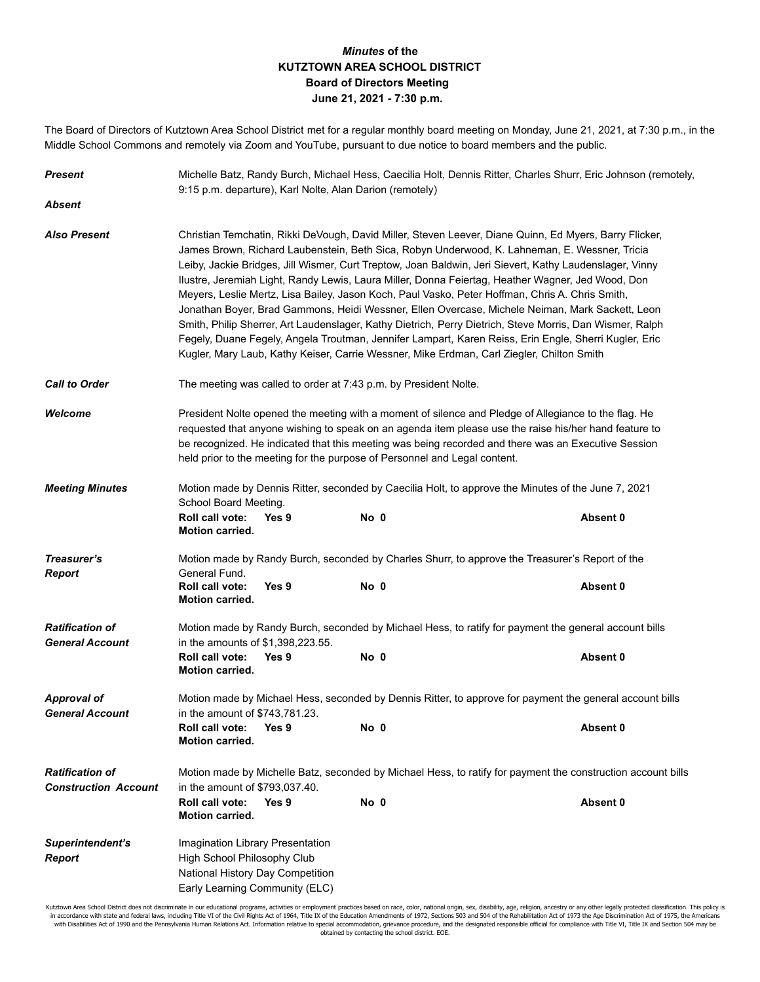## *Minutes* **of the KUTZTOWN AREA SCHOOL DISTRICT Board of Directors Meeting June 21, 2021 - 7:30 p.m.**

The Board of Directors of Kutztown Area School District met for a regular monthly board meeting on Monday, June 21, 2021, at 7:30 p.m., in the Middle School Commons and remotely via Zoom and YouTube, pursuant to due notice to board members and the public.

| <b>Present</b>                                        | Michelle Batz, Randy Burch, Michael Hess, Caecilia Holt, Dennis Ritter, Charles Shurr, Eric Johnson (remotely,<br>9:15 p.m. departure), Karl Nolte, Alan Darion (remotely)                                                                                                                                                                                                                                                                                                                                                                                                                                                                                                                                                                                                                                                                                                                                                                      |  |      |                                                                                                              |          |  |
|-------------------------------------------------------|-------------------------------------------------------------------------------------------------------------------------------------------------------------------------------------------------------------------------------------------------------------------------------------------------------------------------------------------------------------------------------------------------------------------------------------------------------------------------------------------------------------------------------------------------------------------------------------------------------------------------------------------------------------------------------------------------------------------------------------------------------------------------------------------------------------------------------------------------------------------------------------------------------------------------------------------------|--|------|--------------------------------------------------------------------------------------------------------------|----------|--|
| Absent                                                |                                                                                                                                                                                                                                                                                                                                                                                                                                                                                                                                                                                                                                                                                                                                                                                                                                                                                                                                                 |  |      |                                                                                                              |          |  |
| <b>Also Present</b>                                   | Christian Temchatin, Rikki DeVough, David Miller, Steven Leever, Diane Quinn, Ed Myers, Barry Flicker,<br>James Brown, Richard Laubenstein, Beth Sica, Robyn Underwood, K. Lahneman, E. Wessner, Tricia<br>Leiby, Jackie Bridges, Jill Wismer, Curt Treptow, Joan Baldwin, Jeri Sievert, Kathy Laudenslager, Vinny<br>Ilustre, Jeremiah Light, Randy Lewis, Laura Miller, Donna Feiertag, Heather Wagner, Jed Wood, Don<br>Meyers, Leslie Mertz, Lisa Bailey, Jason Koch, Paul Vasko, Peter Hoffman, Chris A. Chris Smith,<br>Jonathan Boyer, Brad Gammons, Heidi Wessner, Ellen Overcase, Michele Neiman, Mark Sackett, Leon<br>Smith, Philip Sherrer, Art Laudenslager, Kathy Dietrich, Perry Dietrich, Steve Morris, Dan Wismer, Ralph<br>Fegely, Duane Fegely, Angela Troutman, Jennifer Lampart, Karen Reiss, Erin Engle, Sherri Kugler, Eric<br>Kugler, Mary Laub, Kathy Keiser, Carrie Wessner, Mike Erdman, Carl Ziegler, Chilton Smith |  |      |                                                                                                              |          |  |
| <b>Call to Order</b>                                  | The meeting was called to order at 7:43 p.m. by President Nolte.                                                                                                                                                                                                                                                                                                                                                                                                                                                                                                                                                                                                                                                                                                                                                                                                                                                                                |  |      |                                                                                                              |          |  |
| Welcome                                               | President Nolte opened the meeting with a moment of silence and Pledge of Allegiance to the flag. He<br>requested that anyone wishing to speak on an agenda item please use the raise his/her hand feature to<br>be recognized. He indicated that this meeting was being recorded and there was an Executive Session<br>held prior to the meeting for the purpose of Personnel and Legal content.                                                                                                                                                                                                                                                                                                                                                                                                                                                                                                                                               |  |      |                                                                                                              |          |  |
| <b>Meeting Minutes</b>                                | Motion made by Dennis Ritter, seconded by Caecilia Holt, to approve the Minutes of the June 7, 2021<br>School Board Meeting.                                                                                                                                                                                                                                                                                                                                                                                                                                                                                                                                                                                                                                                                                                                                                                                                                    |  |      |                                                                                                              |          |  |
|                                                       | Roll call vote:<br>Yes 9<br><b>Motion carried.</b>                                                                                                                                                                                                                                                                                                                                                                                                                                                                                                                                                                                                                                                                                                                                                                                                                                                                                              |  | No 0 |                                                                                                              | Absent 0 |  |
| Treasurer's<br><b>Report</b>                          | General Fund.                                                                                                                                                                                                                                                                                                                                                                                                                                                                                                                                                                                                                                                                                                                                                                                                                                                                                                                                   |  |      | Motion made by Randy Burch, seconded by Charles Shurr, to approve the Treasurer's Report of the              |          |  |
|                                                       | Roll call vote:<br>Yes 9<br>Motion carried.                                                                                                                                                                                                                                                                                                                                                                                                                                                                                                                                                                                                                                                                                                                                                                                                                                                                                                     |  | No 0 |                                                                                                              | Absent 0 |  |
| <b>Ratification of</b><br><b>General Account</b>      | Motion made by Randy Burch, seconded by Michael Hess, to ratify for payment the general account bills<br>in the amounts of \$1,398,223.55.                                                                                                                                                                                                                                                                                                                                                                                                                                                                                                                                                                                                                                                                                                                                                                                                      |  |      |                                                                                                              |          |  |
|                                                       | <b>Roll call vote:</b><br>Yes 9<br><b>Motion carried.</b>                                                                                                                                                                                                                                                                                                                                                                                                                                                                                                                                                                                                                                                                                                                                                                                                                                                                                       |  | No 0 |                                                                                                              | Absent 0 |  |
| <b>Approval of</b><br><b>General Account</b>          | Motion made by Michael Hess, seconded by Dennis Ritter, to approve for payment the general account bills<br>in the amount of \$743,781.23.                                                                                                                                                                                                                                                                                                                                                                                                                                                                                                                                                                                                                                                                                                                                                                                                      |  |      |                                                                                                              |          |  |
|                                                       | <b>Roll call vote:</b><br>Yes 9<br><b>Motion carried.</b>                                                                                                                                                                                                                                                                                                                                                                                                                                                                                                                                                                                                                                                                                                                                                                                                                                                                                       |  | No 0 |                                                                                                              | Absent 0 |  |
| <b>Ratification of</b><br><b>Construction Account</b> | in the amount of \$793,037.40.                                                                                                                                                                                                                                                                                                                                                                                                                                                                                                                                                                                                                                                                                                                                                                                                                                                                                                                  |  |      | Motion made by Michelle Batz, seconded by Michael Hess, to ratify for payment the construction account bills |          |  |
|                                                       | Roll call vote:<br>Yes 9<br><b>Motion carried.</b>                                                                                                                                                                                                                                                                                                                                                                                                                                                                                                                                                                                                                                                                                                                                                                                                                                                                                              |  | No 0 |                                                                                                              | Absent 0 |  |
| Superintendent's<br><b>Report</b>                     | Imagination Library Presentation<br>High School Philosophy Club<br>National History Day Competition<br>Early Learning Community (ELC)                                                                                                                                                                                                                                                                                                                                                                                                                                                                                                                                                                                                                                                                                                                                                                                                           |  |      |                                                                                                              |          |  |

Kutztown Area School District does not discriminate in our educational programs, activities or employment practices based on race, color, national origin, sex, disability, age, religion, ancestry or any other legally prote obtained by contacting the school district. EOE.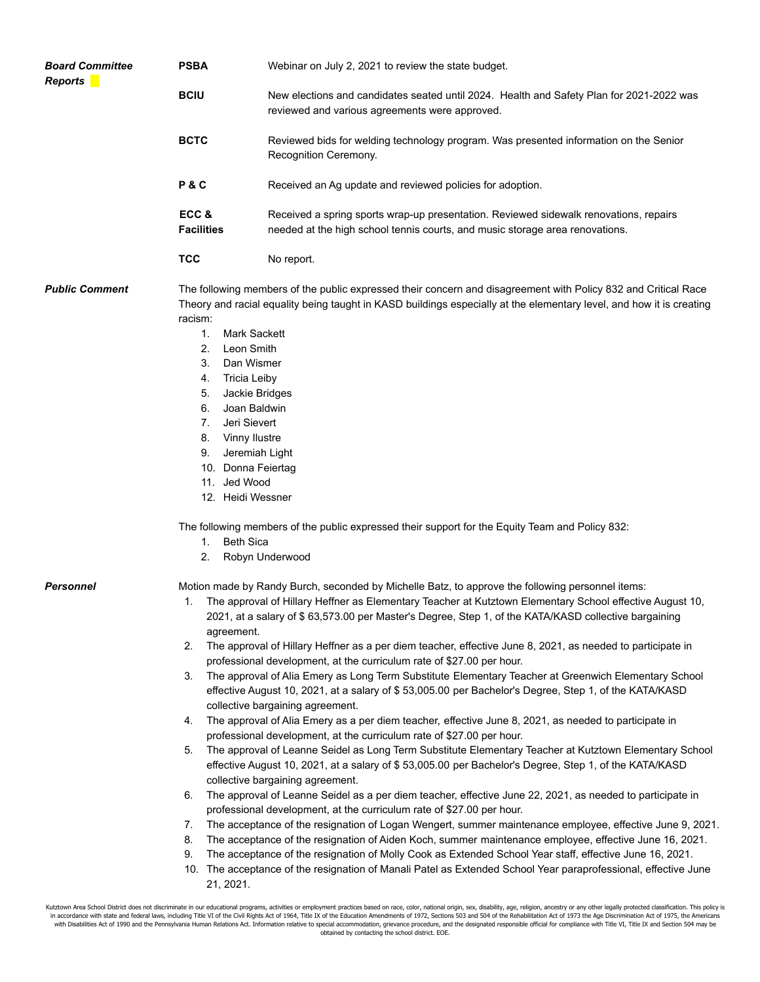| <b>Board Committee</b><br><b>Reports</b> | <b>PSBA</b>                                                                                                                                                                                                                    | Webinar on July 2, 2021 to review the state budget.                                                                                                                                                                                                                                                                                                                                                                                                                                                                  |  |  |  |  |
|------------------------------------------|--------------------------------------------------------------------------------------------------------------------------------------------------------------------------------------------------------------------------------|----------------------------------------------------------------------------------------------------------------------------------------------------------------------------------------------------------------------------------------------------------------------------------------------------------------------------------------------------------------------------------------------------------------------------------------------------------------------------------------------------------------------|--|--|--|--|
|                                          | <b>BCIU</b>                                                                                                                                                                                                                    | New elections and candidates seated until 2024. Health and Safety Plan for 2021-2022 was<br>reviewed and various agreements were approved.<br>Reviewed bids for welding technology program. Was presented information on the Senior<br>Recognition Ceremony.<br>Received an Ag update and reviewed policies for adoption.                                                                                                                                                                                            |  |  |  |  |
|                                          | <b>BCTC</b>                                                                                                                                                                                                                    |                                                                                                                                                                                                                                                                                                                                                                                                                                                                                                                      |  |  |  |  |
|                                          | P&C                                                                                                                                                                                                                            |                                                                                                                                                                                                                                                                                                                                                                                                                                                                                                                      |  |  |  |  |
|                                          | ECC&<br><b>Facilities</b>                                                                                                                                                                                                      | Received a spring sports wrap-up presentation. Reviewed sidewalk renovations, repairs<br>needed at the high school tennis courts, and music storage area renovations.                                                                                                                                                                                                                                                                                                                                                |  |  |  |  |
|                                          | <b>TCC</b>                                                                                                                                                                                                                     | No report.                                                                                                                                                                                                                                                                                                                                                                                                                                                                                                           |  |  |  |  |
| <b>Public Comment</b>                    | racism:                                                                                                                                                                                                                        | The following members of the public expressed their concern and disagreement with Policy 832 and Critical Race<br>Theory and racial equality being taught in KASD buildings especially at the elementary level, and how it is creating                                                                                                                                                                                                                                                                               |  |  |  |  |
|                                          | 1.                                                                                                                                                                                                                             | Mark Sackett                                                                                                                                                                                                                                                                                                                                                                                                                                                                                                         |  |  |  |  |
|                                          | Leon Smith<br>2.                                                                                                                                                                                                               |                                                                                                                                                                                                                                                                                                                                                                                                                                                                                                                      |  |  |  |  |
|                                          | 3.<br>Dan Wismer                                                                                                                                                                                                               |                                                                                                                                                                                                                                                                                                                                                                                                                                                                                                                      |  |  |  |  |
|                                          | <b>Tricia Leiby</b><br>4.                                                                                                                                                                                                      |                                                                                                                                                                                                                                                                                                                                                                                                                                                                                                                      |  |  |  |  |
|                                          |                                                                                                                                                                                                                                | Jackie Bridges<br>5.                                                                                                                                                                                                                                                                                                                                                                                                                                                                                                 |  |  |  |  |
|                                          | Joan Baldwin<br>6.<br>Jeri Sievert<br>7.                                                                                                                                                                                       |                                                                                                                                                                                                                                                                                                                                                                                                                                                                                                                      |  |  |  |  |
|                                          | Vinny Ilustre<br>8.                                                                                                                                                                                                            |                                                                                                                                                                                                                                                                                                                                                                                                                                                                                                                      |  |  |  |  |
|                                          | Jeremiah Light<br>9.                                                                                                                                                                                                           |                                                                                                                                                                                                                                                                                                                                                                                                                                                                                                                      |  |  |  |  |
|                                          | 10. Donna Feiertag                                                                                                                                                                                                             |                                                                                                                                                                                                                                                                                                                                                                                                                                                                                                                      |  |  |  |  |
|                                          | 11. Jed Wood                                                                                                                                                                                                                   |                                                                                                                                                                                                                                                                                                                                                                                                                                                                                                                      |  |  |  |  |
|                                          | 12. Heidi Wessner                                                                                                                                                                                                              |                                                                                                                                                                                                                                                                                                                                                                                                                                                                                                                      |  |  |  |  |
|                                          | The following members of the public expressed their support for the Equity Team and Policy 832:                                                                                                                                |                                                                                                                                                                                                                                                                                                                                                                                                                                                                                                                      |  |  |  |  |
|                                          | <b>Beth Sica</b><br>1.                                                                                                                                                                                                         |                                                                                                                                                                                                                                                                                                                                                                                                                                                                                                                      |  |  |  |  |
|                                          | 2.                                                                                                                                                                                                                             | Robyn Underwood                                                                                                                                                                                                                                                                                                                                                                                                                                                                                                      |  |  |  |  |
| Personnel                                | Motion made by Randy Burch, seconded by Michelle Batz, to approve the following personnel items:                                                                                                                               |                                                                                                                                                                                                                                                                                                                                                                                                                                                                                                                      |  |  |  |  |
|                                          | The approval of Hillary Heffner as Elementary Teacher at Kutztown Elementary School effective August 10,<br>2021, at a salary of \$63,573.00 per Master's Degree, Step 1, of the KATA/KASD collective bargaining<br>agreement. |                                                                                                                                                                                                                                                                                                                                                                                                                                                                                                                      |  |  |  |  |
|                                          | 2.                                                                                                                                                                                                                             | The approval of Hillary Heffner as a per diem teacher, effective June 8, 2021, as needed to participate in                                                                                                                                                                                                                                                                                                                                                                                                           |  |  |  |  |
|                                          |                                                                                                                                                                                                                                | professional development, at the curriculum rate of \$27.00 per hour.                                                                                                                                                                                                                                                                                                                                                                                                                                                |  |  |  |  |
|                                          | The approval of Alia Emery as Long Term Substitute Elementary Teacher at Greenwich Elementary School<br>3.                                                                                                                     |                                                                                                                                                                                                                                                                                                                                                                                                                                                                                                                      |  |  |  |  |
|                                          | effective August 10, 2021, at a salary of \$53,005.00 per Bachelor's Degree, Step 1, of the KATA/KASD                                                                                                                          |                                                                                                                                                                                                                                                                                                                                                                                                                                                                                                                      |  |  |  |  |
|                                          | collective bargaining agreement.<br>The approval of Alia Emery as a per diem teacher, effective June 8, 2021, as needed to participate in                                                                                      |                                                                                                                                                                                                                                                                                                                                                                                                                                                                                                                      |  |  |  |  |
|                                          | 4.                                                                                                                                                                                                                             |                                                                                                                                                                                                                                                                                                                                                                                                                                                                                                                      |  |  |  |  |
|                                          | professional development, at the curriculum rate of \$27.00 per hour.<br>The approval of Leanne Seidel as Long Term Substitute Elementary Teacher at Kutztown Elementary School<br>5.                                          |                                                                                                                                                                                                                                                                                                                                                                                                                                                                                                                      |  |  |  |  |
|                                          | effective August 10, 2021, at a salary of \$53,005.00 per Bachelor's Degree, Step 1, of the KATA/KASD                                                                                                                          |                                                                                                                                                                                                                                                                                                                                                                                                                                                                                                                      |  |  |  |  |
|                                          | collective bargaining agreement.                                                                                                                                                                                               |                                                                                                                                                                                                                                                                                                                                                                                                                                                                                                                      |  |  |  |  |
|                                          | The approval of Leanne Seidel as a per diem teacher, effective June 22, 2021, as needed to participate in<br>6.                                                                                                                |                                                                                                                                                                                                                                                                                                                                                                                                                                                                                                                      |  |  |  |  |
|                                          |                                                                                                                                                                                                                                | professional development, at the curriculum rate of \$27.00 per hour.                                                                                                                                                                                                                                                                                                                                                                                                                                                |  |  |  |  |
|                                          | 7.                                                                                                                                                                                                                             | The acceptance of the resignation of Logan Wengert, summer maintenance employee, effective June 9, 2021.                                                                                                                                                                                                                                                                                                                                                                                                             |  |  |  |  |
|                                          | 8.                                                                                                                                                                                                                             | The acceptance of the resignation of Aiden Koch, summer maintenance employee, effective June 16, 2021.                                                                                                                                                                                                                                                                                                                                                                                                               |  |  |  |  |
|                                          | 9.<br>The acceptance of the resignation of Molly Cook as Extended School Year staff, effective June 16, 2021.                                                                                                                  |                                                                                                                                                                                                                                                                                                                                                                                                                                                                                                                      |  |  |  |  |
|                                          | 10. The acceptance of the resignation of Manali Patel as Extended School Year paraprofessional, effective June                                                                                                                 |                                                                                                                                                                                                                                                                                                                                                                                                                                                                                                                      |  |  |  |  |
|                                          | 21, 2021.                                                                                                                                                                                                                      |                                                                                                                                                                                                                                                                                                                                                                                                                                                                                                                      |  |  |  |  |
|                                          |                                                                                                                                                                                                                                | Kutztown Area School District does not discriminate in our educational programs, activities or employment practices based on race, color, national origin, sex, disability, age, religion, ancestry or any other legally prote                                                                                                                                                                                                                                                                                       |  |  |  |  |
|                                          |                                                                                                                                                                                                                                | in accordance with state and federal laws, including Title VI of the Civil Rights Act of 1964, Title IX of the Education Amendments of 1972, Sections 503 and 504 of the Rehabilitation Act of 1973 the Age Discrimination Act<br>with Disabilities Act of 1990 and the Pennsylvania Human Relations Act. Information relative to special accommodation, grievance procedure, and the designated responsible official for compliance with Title VI, Title IX and<br>obtained by contacting the school district. EOE. |  |  |  |  |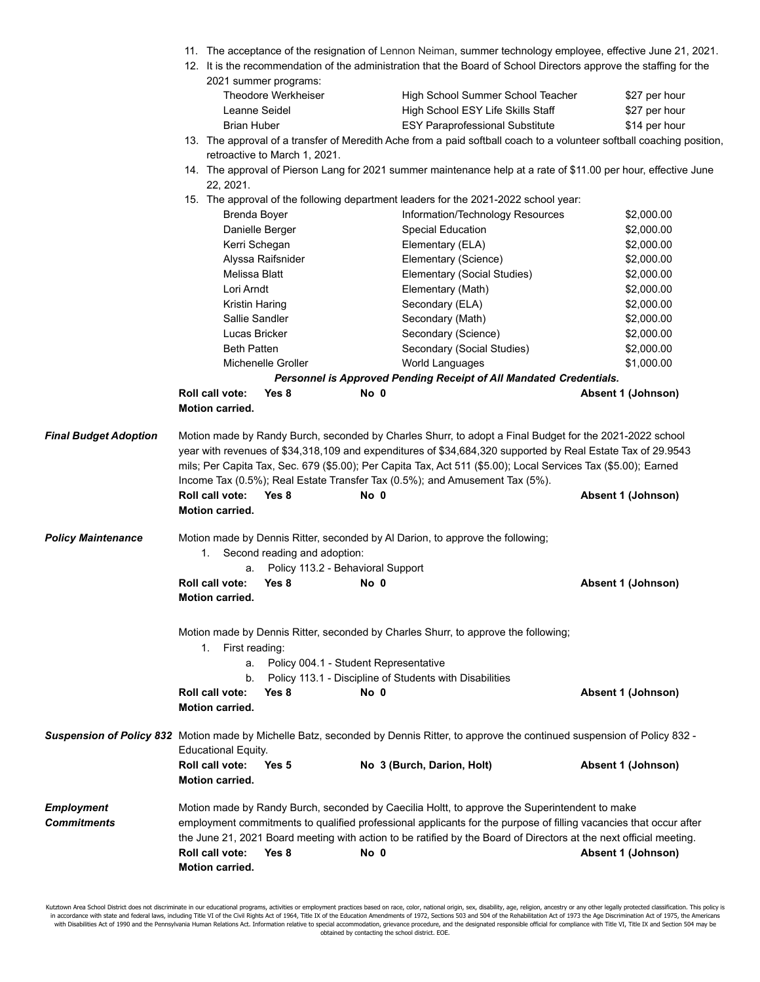- 11. The acceptance of the resignation of Lennon Neiman, summer technology employee, effective June 21, 2021.
- 12. It is the recommendation of the administration that the Board of School Directors approve the staffing for the 2021 summer programs:

| Theodore Werkheiser | High School Summer School Teacher      | \$27 per hour |
|---------------------|----------------------------------------|---------------|
| Leanne Seidel       | High School ESY Life Skills Staff      | \$27 per hour |
| Brian Huber         | <b>ESY Paraprofessional Substitute</b> | \$14 per hour |
|                     |                                        |               |

13. The approval of a transfer of Meredith Ache from a paid softball coach to a volunteer softball coaching position, retroactive to March 1, 2021.

14. The approval of Pierson Lang for 2021 summer maintenance help at a rate of \$11.00 per hour, effective June 22, 2021.

|                                         |                                                                                                                                                                                                                                                                                                                                                                                                                                                    |                    |                                                                                                     | 15. The approval of the following department leaders for the 2021-2022 school year: |                    |  |
|-----------------------------------------|----------------------------------------------------------------------------------------------------------------------------------------------------------------------------------------------------------------------------------------------------------------------------------------------------------------------------------------------------------------------------------------------------------------------------------------------------|--------------------|-----------------------------------------------------------------------------------------------------|-------------------------------------------------------------------------------------|--------------------|--|
|                                         | Brenda Boyer                                                                                                                                                                                                                                                                                                                                                                                                                                       |                    |                                                                                                     | Information/Technology Resources                                                    | \$2,000.00         |  |
|                                         |                                                                                                                                                                                                                                                                                                                                                                                                                                                    | Danielle Berger    | <b>Special Education</b>                                                                            |                                                                                     | \$2,000.00         |  |
|                                         | Kerri Schegan                                                                                                                                                                                                                                                                                                                                                                                                                                      |                    | Elementary (ELA)                                                                                    |                                                                                     | \$2,000.00         |  |
|                                         |                                                                                                                                                                                                                                                                                                                                                                                                                                                    | Alyssa Raifsnider  |                                                                                                     | Elementary (Science)                                                                | \$2,000.00         |  |
|                                         | Melissa Blatt                                                                                                                                                                                                                                                                                                                                                                                                                                      |                    |                                                                                                     | Elementary (Social Studies)                                                         | \$2,000.00         |  |
|                                         | Lori Arndt                                                                                                                                                                                                                                                                                                                                                                                                                                         |                    | Elementary (Math)                                                                                   |                                                                                     | \$2,000.00         |  |
|                                         | Kristin Haring                                                                                                                                                                                                                                                                                                                                                                                                                                     |                    | Secondary (ELA)                                                                                     |                                                                                     | \$2,000.00         |  |
|                                         | Sallie Sandler                                                                                                                                                                                                                                                                                                                                                                                                                                     |                    | Secondary (Math)                                                                                    |                                                                                     | \$2,000.00         |  |
|                                         | Lucas Bricker                                                                                                                                                                                                                                                                                                                                                                                                                                      |                    |                                                                                                     | Secondary (Science)                                                                 | \$2,000.00         |  |
|                                         | <b>Beth Patten</b>                                                                                                                                                                                                                                                                                                                                                                                                                                 |                    |                                                                                                     | Secondary (Social Studies)                                                          | \$2,000.00         |  |
|                                         |                                                                                                                                                                                                                                                                                                                                                                                                                                                    | Michenelle Groller | World Languages                                                                                     |                                                                                     | \$1,000.00         |  |
|                                         |                                                                                                                                                                                                                                                                                                                                                                                                                                                    |                    |                                                                                                     | Personnel is Approved Pending Receipt of All Mandated Credentials.                  |                    |  |
|                                         | Roll call vote:                                                                                                                                                                                                                                                                                                                                                                                                                                    | Yes 8              | No 0                                                                                                |                                                                                     | Absent 1 (Johnson) |  |
|                                         | <b>Motion carried.</b>                                                                                                                                                                                                                                                                                                                                                                                                                             |                    |                                                                                                     |                                                                                     |                    |  |
| <b>Final Budget Adoption</b>            | Motion made by Randy Burch, seconded by Charles Shurr, to adopt a Final Budget for the 2021-2022 school<br>year with revenues of \$34,318,109 and expenditures of \$34,684,320 supported by Real Estate Tax of 29.9543<br>mils; Per Capita Tax, Sec. 679 (\$5.00); Per Capita Tax, Act 511 (\$5.00); Local Services Tax (\$5.00); Earned<br>Income Tax (0.5%); Real Estate Transfer Tax (0.5%); and Amusement Tax (5%).<br>Roll call vote:<br>No 0 |                    |                                                                                                     |                                                                                     |                    |  |
|                                         | Motion carried.                                                                                                                                                                                                                                                                                                                                                                                                                                    | Yes 8              |                                                                                                     |                                                                                     | Absent 1 (Johnson) |  |
|                                         |                                                                                                                                                                                                                                                                                                                                                                                                                                                    |                    |                                                                                                     |                                                                                     |                    |  |
| <b>Policy Maintenance</b>               | Motion made by Dennis Ritter, seconded by Al Darion, to approve the following;<br>1. Second reading and adoption:<br>Policy 113.2 - Behavioral Support<br>a.                                                                                                                                                                                                                                                                                       |                    |                                                                                                     |                                                                                     |                    |  |
|                                         | Roll call vote:                                                                                                                                                                                                                                                                                                                                                                                                                                    | Yes 8              | No 0                                                                                                |                                                                                     | Absent 1 (Johnson) |  |
|                                         | Motion carried.                                                                                                                                                                                                                                                                                                                                                                                                                                    |                    |                                                                                                     |                                                                                     |                    |  |
|                                         | 1. First reading:<br>b.                                                                                                                                                                                                                                                                                                                                                                                                                            |                    | a. Policy 004.1 - Student Representative<br>Policy 113.1 - Discipline of Students with Disabilities | Motion made by Dennis Ritter, seconded by Charles Shurr, to approve the following;  |                    |  |
|                                         | Roll call vote:<br><b>Motion carried.</b>                                                                                                                                                                                                                                                                                                                                                                                                          | Yes 8              | No 0                                                                                                |                                                                                     | Absent 1 (Johnson) |  |
|                                         |                                                                                                                                                                                                                                                                                                                                                                                                                                                    |                    |                                                                                                     |                                                                                     |                    |  |
|                                         | Suspension of Policy 832 Motion made by Michelle Batz, seconded by Dennis Ritter, to approve the continued suspension of Policy 832 -<br><b>Educational Equity.</b>                                                                                                                                                                                                                                                                                |                    |                                                                                                     |                                                                                     |                    |  |
|                                         | Roll call vote:<br><b>Motion carried.</b>                                                                                                                                                                                                                                                                                                                                                                                                          | Yes 5              | No 3 (Burch, Darion, Holt)                                                                          |                                                                                     | Absent 1 (Johnson) |  |
| <b>Employment</b><br><b>Commitments</b> | Motion made by Randy Burch, seconded by Caecilia Holtt, to approve the Superintendent to make<br>employment commitments to qualified professional applicants for the purpose of filling vacancies that occur after                                                                                                                                                                                                                                 |                    |                                                                                                     |                                                                                     |                    |  |
|                                         | the June 21, 2021 Board meeting with action to be ratified by the Board of Directors at the next official meeting.                                                                                                                                                                                                                                                                                                                                 |                    |                                                                                                     |                                                                                     |                    |  |
|                                         | Roll call vote:<br>Motion carried.                                                                                                                                                                                                                                                                                                                                                                                                                 | Yes 8              | No 0                                                                                                |                                                                                     | Absent 1 (Johnson) |  |

Kutztown Area School District does not discriminate in our educational programs, activities or employment practices based on race, color, national origin, sex, disability, age, religion, ancestry or any other legally prote obtained by contacting the school district. EOE.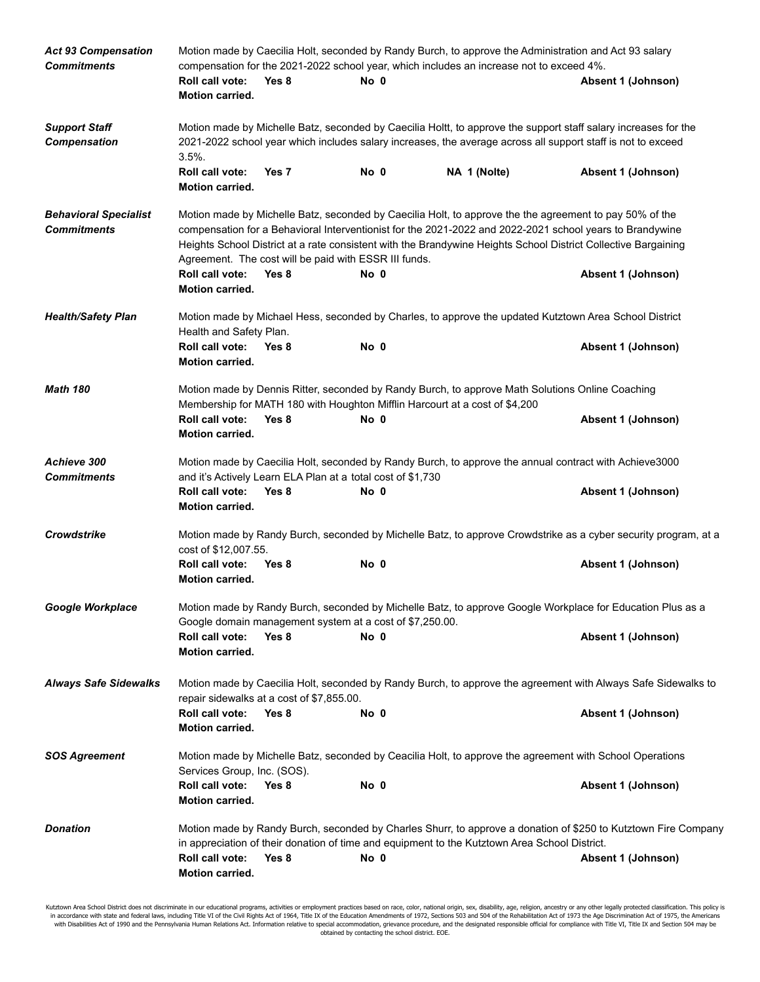| <b>Act 93 Compensation</b><br><b>Commitments</b>   | Motion made by Caecilia Holt, seconded by Randy Burch, to approve the Administration and Act 93 salary<br>compensation for the 2021-2022 school year, which includes an increase not to exceed 4%.                                                                                                                                                                                             |                                                             |      |                                                                                                                                                                                                                                 |                                                                                                                 |  |
|----------------------------------------------------|------------------------------------------------------------------------------------------------------------------------------------------------------------------------------------------------------------------------------------------------------------------------------------------------------------------------------------------------------------------------------------------------|-------------------------------------------------------------|------|---------------------------------------------------------------------------------------------------------------------------------------------------------------------------------------------------------------------------------|-----------------------------------------------------------------------------------------------------------------|--|
|                                                    | Roll call vote:<br><b>Motion carried.</b>                                                                                                                                                                                                                                                                                                                                                      | Yes 8                                                       | No 0 |                                                                                                                                                                                                                                 | Absent 1 (Johnson)                                                                                              |  |
| <b>Support Staff</b><br><b>Compensation</b>        | $3.5%$ .                                                                                                                                                                                                                                                                                                                                                                                       |                                                             |      | Motion made by Michelle Batz, seconded by Caecilia Holtt, to approve the support staff salary increases for the<br>2021-2022 school year which includes salary increases, the average across all support staff is not to exceed |                                                                                                                 |  |
|                                                    | Roll call vote:<br>Motion carried.                                                                                                                                                                                                                                                                                                                                                             | Yes 7                                                       | No 0 | NA 1 (Nolte)                                                                                                                                                                                                                    | Absent 1 (Johnson)                                                                                              |  |
| <b>Behavioral Specialist</b><br><b>Commitments</b> | Motion made by Michelle Batz, seconded by Caecilia Holt, to approve the the agreement to pay 50% of the<br>compensation for a Behavioral Interventionist for the 2021-2022 and 2022-2021 school years to Brandywine<br>Heights School District at a rate consistent with the Brandywine Heights School District Collective Bargaining<br>Agreement. The cost will be paid with ESSR III funds. |                                                             |      |                                                                                                                                                                                                                                 |                                                                                                                 |  |
|                                                    | Roll call vote:<br>Motion carried.                                                                                                                                                                                                                                                                                                                                                             | Yes 8                                                       | No 0 |                                                                                                                                                                                                                                 | Absent 1 (Johnson)                                                                                              |  |
| <b>Health/Safety Plan</b>                          | Health and Safety Plan.                                                                                                                                                                                                                                                                                                                                                                        |                                                             |      | Motion made by Michael Hess, seconded by Charles, to approve the updated Kutztown Area School District                                                                                                                          |                                                                                                                 |  |
|                                                    | Roll call vote:<br><b>Motion carried.</b>                                                                                                                                                                                                                                                                                                                                                      | Yes 8                                                       | No 0 |                                                                                                                                                                                                                                 | Absent 1 (Johnson)                                                                                              |  |
| <b>Math 180</b>                                    | Motion made by Dennis Ritter, seconded by Randy Burch, to approve Math Solutions Online Coaching<br>Membership for MATH 180 with Houghton Mifflin Harcourt at a cost of \$4,200                                                                                                                                                                                                                |                                                             |      |                                                                                                                                                                                                                                 |                                                                                                                 |  |
|                                                    | Roll call vote:<br><b>Motion carried.</b>                                                                                                                                                                                                                                                                                                                                                      | Yes 8                                                       | No 0 |                                                                                                                                                                                                                                 | Absent 1 (Johnson)                                                                                              |  |
| Achieve 300<br><b>Commitments</b>                  |                                                                                                                                                                                                                                                                                                                                                                                                | and it's Actively Learn ELA Plan at a total cost of \$1,730 |      | Motion made by Caecilia Holt, seconded by Randy Burch, to approve the annual contract with Achieve3000                                                                                                                          |                                                                                                                 |  |
|                                                    | Roll call vote:<br><b>Motion carried.</b>                                                                                                                                                                                                                                                                                                                                                      | Yes 8                                                       | No 0 |                                                                                                                                                                                                                                 | Absent 1 (Johnson)                                                                                              |  |
| <b>Crowdstrike</b>                                 | cost of \$12,007.55.                                                                                                                                                                                                                                                                                                                                                                           |                                                             |      |                                                                                                                                                                                                                                 | Motion made by Randy Burch, seconded by Michelle Batz, to approve Crowdstrike as a cyber security program, at a |  |
|                                                    | Roll call vote:<br><b>Motion carried.</b>                                                                                                                                                                                                                                                                                                                                                      | Yes 8                                                       | No 0 |                                                                                                                                                                                                                                 | Absent 1 (Johnson)                                                                                              |  |
| Google Workplace                                   | Motion made by Randy Burch, seconded by Michelle Batz, to approve Google Workplace for Education Plus as a<br>Google domain management system at a cost of \$7,250.00.                                                                                                                                                                                                                         |                                                             |      |                                                                                                                                                                                                                                 |                                                                                                                 |  |
|                                                    | Roll call vote:<br><b>Motion carried.</b>                                                                                                                                                                                                                                                                                                                                                      | Yes 8                                                       | No 0 |                                                                                                                                                                                                                                 | Absent 1 (Johnson)                                                                                              |  |
| <b>Always Safe Sidewalks</b>                       | Motion made by Caecilia Holt, seconded by Randy Burch, to approve the agreement with Always Safe Sidewalks to<br>repair sidewalks at a cost of \$7,855.00.                                                                                                                                                                                                                                     |                                                             |      |                                                                                                                                                                                                                                 |                                                                                                                 |  |
|                                                    | Roll call vote:<br>Motion carried.                                                                                                                                                                                                                                                                                                                                                             | Yes 8                                                       | No 0 |                                                                                                                                                                                                                                 | Absent 1 (Johnson)                                                                                              |  |
| <b>SOS Agreement</b>                               | Services Group, Inc. (SOS).                                                                                                                                                                                                                                                                                                                                                                    |                                                             |      | Motion made by Michelle Batz, seconded by Ceacilia Holt, to approve the agreement with School Operations                                                                                                                        |                                                                                                                 |  |
|                                                    | Roll call vote:<br><b>Motion carried.</b>                                                                                                                                                                                                                                                                                                                                                      | Yes 8                                                       | No 0 |                                                                                                                                                                                                                                 | Absent 1 (Johnson)                                                                                              |  |
| <b>Donation</b>                                    | Motion made by Randy Burch, seconded by Charles Shurr, to approve a donation of \$250 to Kutztown Fire Company<br>in appreciation of their donation of time and equipment to the Kutztown Area School District.                                                                                                                                                                                |                                                             |      |                                                                                                                                                                                                                                 |                                                                                                                 |  |
|                                                    | Roll call vote:<br>Motion carried.                                                                                                                                                                                                                                                                                                                                                             | Yes 8                                                       | No 0 |                                                                                                                                                                                                                                 | Absent 1 (Johnson)                                                                                              |  |

Kutztown Area School District does not discriminate in our educational programs, activities or employment practices based on race, color, national origin, sex, disability, age, religion, ancestry or any other legally prote